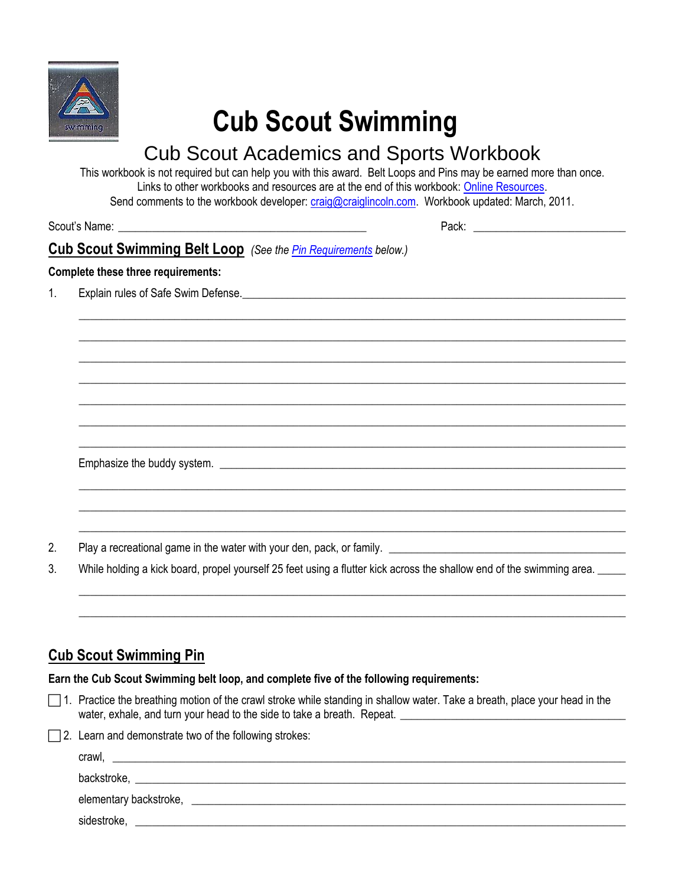

# **Cub Scout Swimming**

# Cub Scout Academics and Sports Workbook

This workbook is not required but can help you with this award. Belt Loops and Pins may be earned more than once. Links to other workbooks and resources are at the end of this workbook: [Online Resources.](#page-2-0) Send comments to the workbook developer: [craig@craiglincoln.com.](mailto:craig@craiglincoln.com) Workbook updated: March, 2011.

 $\_$  ,  $\_$  ,  $\_$  ,  $\_$  ,  $\_$  ,  $\_$  ,  $\_$  ,  $\_$  ,  $\_$  ,  $\_$  ,  $\_$  ,  $\_$  ,  $\_$  ,  $\_$  ,  $\_$  ,  $\_$  ,  $\_$  ,  $\_$  ,  $\_$  ,  $\_$  ,  $\_$  ,  $\_$  ,  $\_$  ,  $\_$  ,  $\_$  ,  $\_$  ,  $\_$  ,  $\_$  ,  $\_$  ,  $\_$  ,  $\_$  ,  $\_$  ,  $\_$  ,  $\_$  ,  $\_$  ,  $\_$  ,  $\_$  ,  $\_$  ,  $\_$  ,  $\_$  ,  $\_$  ,  $\_$  ,  $\_$  ,  $\_$  ,  $\_$  ,  $\_$  ,  $\_$  ,  $\_$  ,  $\_$  ,  $\_$  ,  $\_$  ,  $\_$  ,  $\_$  ,  $\_$  ,  $\_$  ,  $\_$  ,  $\_$  ,  $\_$  ,  $\_$  ,  $\_$  ,  $\_$  ,  $\_$  ,  $\_$  ,  $\_$  ,  $\_$  ,  $\_$  ,  $\_$  ,  $\_$  ,  $\_$  ,  $\_$  ,  $\_$  ,  $\_$  ,  $\_$  ,  $\_$  ,  $\_$  ,  $\_$  ,  $\_$  ,  $\_$  ,  $\_$  ,  $\_$  ,  $\_$  ,  $\_$  ,  $\_$  ,  $\_$  ,  $\_$  ,  $\_$  ,  $\_$  ,  $\_$  ,  $\_$  ,  $\_$  ,  $\_$  ,  $\_$  ,  $\_$  ,  $\_$  ,  $\_$  ,  $\_$  ,  $\_$  ,  $\_$  ,  $\_$  ,  $\_$  ,  $\_$  ,  $\_$  ,  $\_$  ,  $\_$  ,  $\_$  ,  $\_$  ,  $\_$  ,  $\_$  ,  $\_$  ,  $\_$  ,  $\_$  ,  $\_$  ,  $\_$  ,  $\_$  ,  $\_$  ,  $\_$  ,  $\_$  ,  $\_$  ,  $\_$  ,  $\_$  ,  $\_$  ,  $\_$  ,  $\_$  ,  $\_$  ,  $\_$  ,  $\_$  ,  $\_$  ,  $\_$  ,  $\_$  ,  $\_$  ,  $\_$  ,  $\_$  ,  $\_$  ,  $\_$  ,  $\_$  ,  $\_$  ,  $\_$  ,  $\_$  ,  $\_$  ,  $\_$  ,  $\_$  ,  $\_$  ,  $\_$  ,  $\_$  ,  $\_$  ,  $\_$  ,  $\_$  ,  $\_$  ,  $\_$  ,  $\_$  ,  $\_$  ,  $\_$  ,  $\_$  ,  $\_$  ,  $\_$  ,  $\_$  ,  $\_$  ,  $\_$  ,  $\_$  ,  $\_$  ,  $\_$  ,  $\_$  ,  $\_$  ,  $\_$  ,  $\_$  ,  $\_$  ,  $\_$  ,  $\_$  ,  $\_$  ,  $\_$  ,  $\_$  ,  $\_$  ,  $\_$  ,  $\_$  ,  $\_$  ,  $\_$  ,  $\_$  ,  $\_$  ,  $\_$  ,  $\_$  ,  $\_$  ,  $\_$  ,  $\_$  ,  $\_$  ,  $\_$  ,  $\_$  ,  $\_$  ,  $\_$  ,  $\_$  ,  $\_$  ,  $\_$  ,  $\_$  ,  $\_$  ,  $\_$  ,  $\_$  ,  $\_$  ,  $\_$  ,  $\_$  ,  $\_$  ,  $\_$  ,  $\_$  ,  $\_$  ,  $\_$  ,  $\_$  ,  $\_$  ,  $\_$  ,  $\_$  ,  $\_$  ,  $\_$  ,  $\_$  ,  $\_$  ,  $\_$  ,  $\_$  ,  $\_$  ,  $\_$  ,  $\_$  ,  $\_$  ,  $\_$  ,  $\_$  ,  $\_$  ,  $\_$  ,  $\_$  ,  $\_$  ,  $\_$  ,  $\_$  ,  $\_$  ,  $\_$  ,  $\_$  ,  $\_$  ,  $\_$  ,  $\_$  ,  $\_$  ,  $\_$  ,  $\_$  ,  $\_$  ,  $\_$  ,  $\_$  ,  $\_$  ,  $\_$  ,  $\_$  ,  $\_$  ,  $\_$  ,  $\_$  ,  $\_$  ,  $\_$  ,  $\_$  ,  $\_$  ,  $\_$  ,  $\_$  ,  $\_$  ,  $\_$  ,  $\_$  ,  $\_$  ,  $\_$  ,  $\_$  ,  $\_$  ,  $\_$  ,  $\_$  ,  $\_$  ,

 $\_$  ,  $\_$  ,  $\_$  ,  $\_$  ,  $\_$  ,  $\_$  ,  $\_$  ,  $\_$  ,  $\_$  ,  $\_$  ,  $\_$  ,  $\_$  ,  $\_$  ,  $\_$  ,  $\_$  ,  $\_$  ,  $\_$  ,  $\_$  ,  $\_$  ,  $\_$  ,  $\_$  ,  $\_$  ,  $\_$  ,  $\_$  ,  $\_$  ,  $\_$  ,  $\_$  ,  $\_$  ,  $\_$  ,  $\_$  ,  $\_$  ,  $\_$  ,  $\_$  ,  $\_$  ,  $\_$  ,  $\_$  ,  $\_$  ,  $\_$  ,  $\_$  ,  $\_$  ,  $\_$  ,  $\_$  ,  $\_$  ,  $\_$  ,  $\_$  ,  $\_$  ,  $\_$  ,  $\_$  ,  $\_$  ,  $\_$  ,  $\_$  ,  $\_$  ,  $\_$  ,  $\_$  ,  $\_$  ,  $\_$  ,  $\_$  ,  $\_$  ,  $\_$  ,  $\_$  ,  $\_$  ,  $\_$  ,  $\_$  ,  $\_$  ,  $\_$  ,  $\_$  ,  $\_$  ,  $\_$  ,  $\_$  ,  $\_$  ,  $\_$  ,  $\_$  ,  $\_$  ,  $\_$  ,  $\_$  ,  $\_$  ,  $\_$  ,  $\_$  ,  $\_$  ,  $\_$  ,  $\_$  ,  $\_$  ,  $\_$  ,  $\_$  ,  $\_$  ,  $\_$  ,  $\_$  ,  $\_$  ,  $\_$  ,  $\_$  ,  $\_$  ,  $\_$  ,  $\_$  ,  $\_$  ,  $\_$  ,  $\_$  ,  $\_$  ,  $\_$  ,  $\_$  ,  $\_$  ,  $\_$  ,  $\_$  ,  $\_$  ,  $\_$  ,  $\_$  ,  $\_$  ,  $\_$  ,  $\_$  ,  $\_$  ,  $\_$  ,  $\_$  ,

<span id="page-0-0"></span> $\_$  ,  $\_$  ,  $\_$  ,  $\_$  ,  $\_$  ,  $\_$  ,  $\_$  ,  $\_$  ,  $\_$  ,  $\_$  ,  $\_$  ,  $\_$  ,  $\_$  ,  $\_$  ,  $\_$  ,  $\_$  ,  $\_$  ,  $\_$  ,  $\_$  ,  $\_$  ,  $\_$  ,  $\_$  ,  $\_$  ,  $\_$  ,  $\_$  ,  $\_$  ,  $\_$  ,  $\_$  ,  $\_$  ,  $\_$  ,  $\_$  ,  $\_$  ,  $\_$  ,  $\_$  ,  $\_$  ,  $\_$  ,  $\_$  ,  $\_$  ,  $\_$  ,  $\_$  ,  $\_$  ,  $\_$  ,  $\_$  ,  $\_$  ,  $\_$  ,  $\_$  ,  $\_$  ,  $\_$  ,  $\_$  ,  $\_$  ,  $\_$  ,  $\_$  ,  $\_$  ,  $\_$  ,  $\_$  ,  $\_$  ,  $\_$  ,  $\_$  ,  $\_$  ,  $\_$  ,  $\_$  ,  $\_$  ,  $\_$  ,  $\_$  ,  $\_$  ,  $\_$  ,  $\_$  ,  $\_$  ,  $\_$  ,  $\_$  ,  $\_$  ,  $\_$  ,  $\_$  ,  $\_$  ,

Scout's Name: \_\_\_\_\_\_\_\_\_\_\_\_\_\_\_\_\_\_\_\_\_\_\_\_\_\_\_\_\_\_\_\_\_\_\_\_\_\_\_\_\_\_\_\_ Pack: \_\_\_\_\_\_\_\_\_\_\_\_\_\_\_\_\_\_\_\_\_\_\_\_\_\_\_

**Cub Scout Swimming Belt Loop** *(See the [Pin Requirements](#page-0-0) below.)*

#### **Complete these three requirements:**

1. Explain rules of Safe Swim Defense.  $\Box$ 

Emphasize the buddy system. \_\_\_\_\_\_\_\_\_\_\_\_\_\_\_\_\_\_\_\_\_\_\_\_\_\_\_\_\_\_\_\_\_\_\_\_\_\_\_\_\_\_\_\_\_\_\_\_\_\_\_\_\_\_\_\_\_\_\_\_\_\_\_\_\_\_\_\_\_\_\_\_

2. Play a recreational game in the water with your den, pack, or family. **produce the contract of the contract of** 

3. While holding a kick board, propel yourself 25 feet using a flutter kick across the shallow end of the swimming area.

## **Cub Scout Swimming Pin**

**Earn the Cub Scout Swimming belt loop, and complete five of the following requirements:** 

- $\Box$  1. Practice the breathing motion of the crawl stroke while standing in shallow water. Take a breath, place your head in the water, exhale, and turn your head to the side to take a breath. Repeat.
- $\Box$  2. Learn and demonstrate two of the following strokes:

| crawl,                 |             |  |  |
|------------------------|-------------|--|--|
|                        | backstroke, |  |  |
| elementary backstroke, |             |  |  |
| sidestroke,            |             |  |  |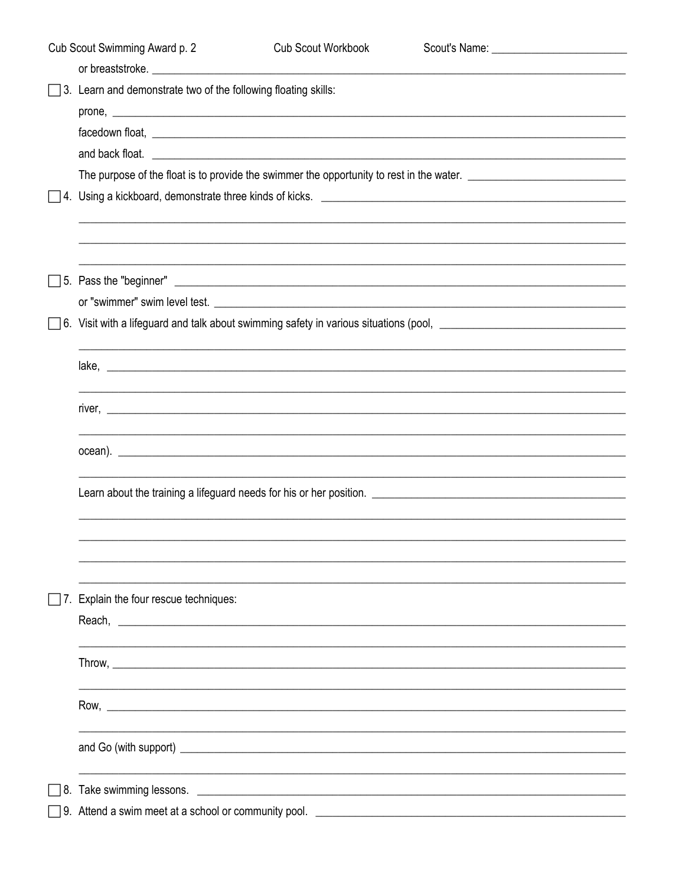| Cub Scout Swimming Award p. 2 |                                                                                                                                                                                                                                      | <b>Cub Scout Workbook</b>                                   |                                                                                                                       |  |  |
|-------------------------------|--------------------------------------------------------------------------------------------------------------------------------------------------------------------------------------------------------------------------------------|-------------------------------------------------------------|-----------------------------------------------------------------------------------------------------------------------|--|--|
|                               |                                                                                                                                                                                                                                      |                                                             |                                                                                                                       |  |  |
|                               | $\Box$ 3. Learn and demonstrate two of the following floating skills:                                                                                                                                                                |                                                             |                                                                                                                       |  |  |
|                               |                                                                                                                                                                                                                                      |                                                             |                                                                                                                       |  |  |
|                               | facedown float, <u>example and the set of the set of the set of the set of the set of the set of the set of the set of the set of the set of the set of the set of the set of the set of the set of the set of the set of the se</u> |                                                             |                                                                                                                       |  |  |
|                               |                                                                                                                                                                                                                                      |                                                             |                                                                                                                       |  |  |
|                               |                                                                                                                                                                                                                                      |                                                             |                                                                                                                       |  |  |
|                               |                                                                                                                                                                                                                                      |                                                             |                                                                                                                       |  |  |
|                               |                                                                                                                                                                                                                                      |                                                             |                                                                                                                       |  |  |
|                               |                                                                                                                                                                                                                                      |                                                             |                                                                                                                       |  |  |
|                               |                                                                                                                                                                                                                                      |                                                             |                                                                                                                       |  |  |
|                               |                                                                                                                                                                                                                                      |                                                             |                                                                                                                       |  |  |
|                               |                                                                                                                                                                                                                                      |                                                             | 6. Visit with a lifeguard and talk about swimming safety in various situations (pool, entitled as a second section of |  |  |
|                               |                                                                                                                                                                                                                                      |                                                             |                                                                                                                       |  |  |
|                               |                                                                                                                                                                                                                                      |                                                             |                                                                                                                       |  |  |
|                               |                                                                                                                                                                                                                                      |                                                             |                                                                                                                       |  |  |
|                               |                                                                                                                                                                                                                                      |                                                             |                                                                                                                       |  |  |
|                               |                                                                                                                                                                                                                                      |                                                             |                                                                                                                       |  |  |
|                               |                                                                                                                                                                                                                                      |                                                             |                                                                                                                       |  |  |
|                               |                                                                                                                                                                                                                                      |                                                             |                                                                                                                       |  |  |
|                               |                                                                                                                                                                                                                                      |                                                             |                                                                                                                       |  |  |
|                               |                                                                                                                                                                                                                                      |                                                             |                                                                                                                       |  |  |
|                               |                                                                                                                                                                                                                                      |                                                             |                                                                                                                       |  |  |
|                               |                                                                                                                                                                                                                                      |                                                             |                                                                                                                       |  |  |
|                               | Explain the four rescue techniques:                                                                                                                                                                                                  |                                                             |                                                                                                                       |  |  |
|                               |                                                                                                                                                                                                                                      |                                                             |                                                                                                                       |  |  |
|                               |                                                                                                                                                                                                                                      |                                                             |                                                                                                                       |  |  |
|                               |                                                                                                                                                                                                                                      |                                                             |                                                                                                                       |  |  |
|                               |                                                                                                                                                                                                                                      |                                                             |                                                                                                                       |  |  |
|                               |                                                                                                                                                                                                                                      |                                                             |                                                                                                                       |  |  |
|                               |                                                                                                                                                                                                                                      |                                                             |                                                                                                                       |  |  |
|                               |                                                                                                                                                                                                                                      |                                                             |                                                                                                                       |  |  |
| 8.                            | Take swimming lessons.                                                                                                                                                                                                               |                                                             |                                                                                                                       |  |  |
|                               |                                                                                                                                                                                                                                      | <u> 1980 - Johann Stoff, amerikansk politiker (d. 1980)</u> |                                                                                                                       |  |  |
|                               |                                                                                                                                                                                                                                      |                                                             |                                                                                                                       |  |  |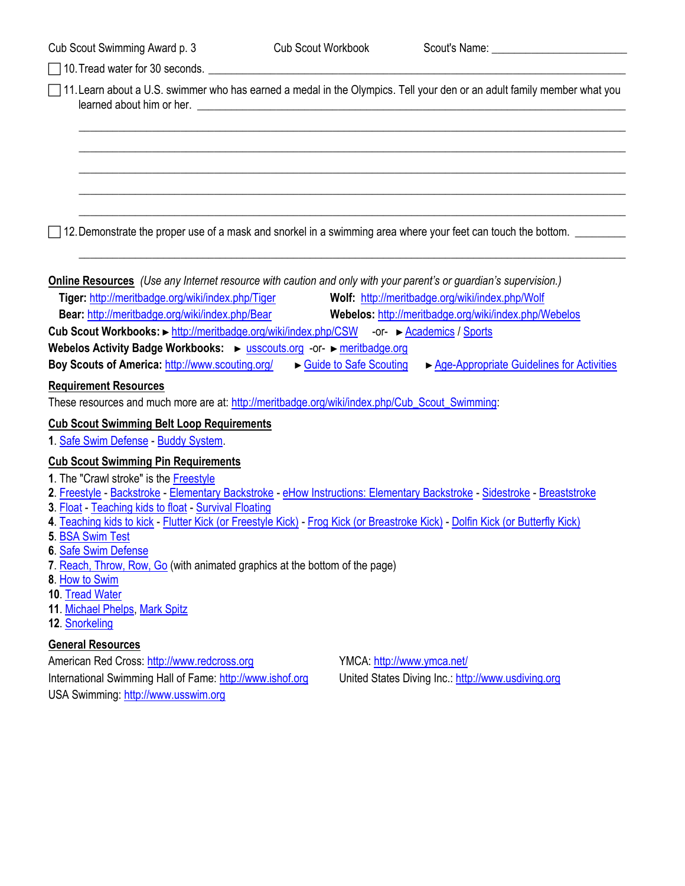|  |  | Cub Scout Swimming Award p. 3 |  |  |  |
|--|--|-------------------------------|--|--|--|
|--|--|-------------------------------|--|--|--|

<span id="page-2-0"></span>

| 10. Tread water for 30 seconds.                                                                                                                                                   |                                                                                                                                |  |  |  |  |
|-----------------------------------------------------------------------------------------------------------------------------------------------------------------------------------|--------------------------------------------------------------------------------------------------------------------------------|--|--|--|--|
|                                                                                                                                                                                   | 11. Learn about a U.S. swimmer who has earned a medal in the Olympics. Tell your den or an adult family member what you        |  |  |  |  |
|                                                                                                                                                                                   |                                                                                                                                |  |  |  |  |
|                                                                                                                                                                                   |                                                                                                                                |  |  |  |  |
|                                                                                                                                                                                   |                                                                                                                                |  |  |  |  |
|                                                                                                                                                                                   |                                                                                                                                |  |  |  |  |
|                                                                                                                                                                                   | 12. Demonstrate the proper use of a mask and snorkel in a swimming area where your feet can touch the bottom.                  |  |  |  |  |
| <b>Online Resources</b> (Use any Internet resource with caution and only with your parent's or guardian's supervision.)<br>Tiger: http://meritbadge.org/wiki/index.php/Tiger      | Wolf: http://meritbadge.org/wiki/index.php/Wolf                                                                                |  |  |  |  |
| <b>Bear: http://meritbadge.org/wiki/index.php/Bear</b>                                                                                                                            | Webelos: http://meritbadge.org/wiki/index.php/Webelos                                                                          |  |  |  |  |
| Cub Scout Workbooks: ► http://meritbadge.org/wiki/index.php/CSW -or- ► Academics / Sports                                                                                         |                                                                                                                                |  |  |  |  |
| Webelos Activity Badge Workbooks: ► usscouts.org -or- ► meritbadge.org                                                                                                            |                                                                                                                                |  |  |  |  |
| Boy Scouts of America: http://www.scouting.org/                                                                                                                                   | Guide to Safe Scouting<br>► Age-Appropriate Guidelines for Activities                                                          |  |  |  |  |
| <b>Requirement Resources</b><br>These resources and much more are at: http://meritbadge.org/wiki/index.php/Cub_Scout_Swimming:                                                    |                                                                                                                                |  |  |  |  |
| <b>Cub Scout Swimming Belt Loop Requirements</b>                                                                                                                                  |                                                                                                                                |  |  |  |  |
| 1. Safe Swim Defense - Buddy System.                                                                                                                                              |                                                                                                                                |  |  |  |  |
| <b>Cub Scout Swimming Pin Requirements</b>                                                                                                                                        |                                                                                                                                |  |  |  |  |
| 1. The "Crawl stroke" is the Freestyle                                                                                                                                            |                                                                                                                                |  |  |  |  |
| 2. Freestyle - Backstroke - Elementary Backstroke - eHow Instructions: Elementary Backstroke - Sidestroke - Breaststroke<br>3. Float - Teaching kids to float - Survival Floating |                                                                                                                                |  |  |  |  |
|                                                                                                                                                                                   | 4. Teaching kids to kick - Flutter Kick (or Freestyle Kick) - Frog Kick (or Breastroke Kick) - Dolfin Kick (or Butterfly Kick) |  |  |  |  |
| 5. BSA Swim Test                                                                                                                                                                  |                                                                                                                                |  |  |  |  |
| 6. Safe Swim Defense<br>7. Reach, Throw, Row, Go (with animated graphics at the bottom of the page)                                                                               |                                                                                                                                |  |  |  |  |
| 8. How to Swim                                                                                                                                                                    |                                                                                                                                |  |  |  |  |
| 10. Tread Water<br>11. Michael Phelps, Mark Spitz                                                                                                                                 |                                                                                                                                |  |  |  |  |
| 12. Snorkeling                                                                                                                                                                    |                                                                                                                                |  |  |  |  |
| <b>General Resources</b>                                                                                                                                                          |                                                                                                                                |  |  |  |  |
| American Red Cross: http://www.redcross.org                                                                                                                                       | YMCA: http://www.ymca.net/                                                                                                     |  |  |  |  |
| International Swimming Hall of Fame: http://www.ishof.org                                                                                                                         | United States Diving Inc.: http://www.usdiving.org                                                                             |  |  |  |  |
| USA Swimming: http://www.usswim.org                                                                                                                                               |                                                                                                                                |  |  |  |  |